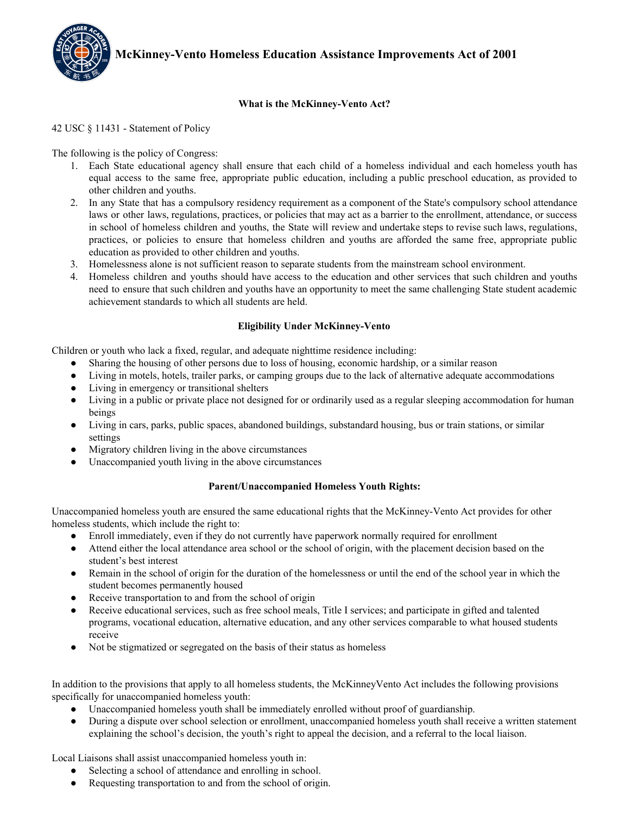

## **What is the McKinney-Vento Act?**

#### 42 USC § 11431 - Statement of Policy

## The following is the policy of Congress:

- 1. Each State educational agency shall ensure that each child of a homeless individual and each homeless youth has equal access to the same free, appropriate public education, including a public preschool education, as provided to other children and youths.
- 2. In any State that has a compulsory residency requirement as a component of the State's compulsory school attendance laws or other laws, regulations, practices, or policies that may act as a barrier to the enrollment, attendance, or success in school of homeless children and youths, the State will review and undertake steps to revise such laws, regulations, practices, or policies to ensure that homeless children and youths are afforded the same free, appropriate public education as provided to other children and youths.
- 3. Homelessness alone is not sufficient reason to separate students from the mainstream school environment.
- 4. Homeless children and youths should have access to the education and other services that such children and youths need to ensure that such children and youths have an opportunity to meet the same challenging State student academic achievement standards to which all students are held.

## **Eligibility Under McKinney-Vento**

Children or youth who lack a fixed, regular, and adequate nighttime residence including:

- Sharing the housing of other persons due to loss of housing, economic hardship, or a similar reason
- Living in motels, hotels, trailer parks, or camping groups due to the lack of alternative adequate accommodations
- Living in emergency or transitional shelters
- Living in a public or private place not designed for or ordinarily used as a regular sleeping accommodation for human beings
- Living in cars, parks, public spaces, abandoned buildings, substandard housing, bus or train stations, or similar settings
- Migratory children living in the above circumstances
- Unaccompanied youth living in the above circumstances

#### **Parent/Unaccompanied Homeless Youth Rights:**

Unaccompanied homeless youth are ensured the same educational rights that the McKinney-Vento Act provides for other homeless students, which include the right to:

- Enroll immediately, even if they do not currently have paperwork normally required for enrollment
- Attend either the local attendance area school or the school of origin, with the placement decision based on the student's best interest
- Remain in the school of origin for the duration of the homelessness or until the end of the school year in which the student becomes permanently housed
- Receive transportation to and from the school of origin
- Receive educational services, such as free school meals, Title I services; and participate in gifted and talented programs, vocational education, alternative education, and any other services comparable to what housed students receive
- Not be stigmatized or segregated on the basis of their status as homeless

In addition to the provisions that apply to all homeless students, the McKinneyVento Act includes the following provisions specifically for unaccompanied homeless youth:

- Unaccompanied homeless youth shall be immediately enrolled without proof of guardianship.
- During a dispute over school selection or enrollment, unaccompanied homeless youth shall receive a written statement explaining the school's decision, the youth's right to appeal the decision, and a referral to the local liaison.

Local Liaisons shall assist unaccompanied homeless youth in:

- Selecting a school of attendance and enrolling in school.
- Requesting transportation to and from the school of origin.